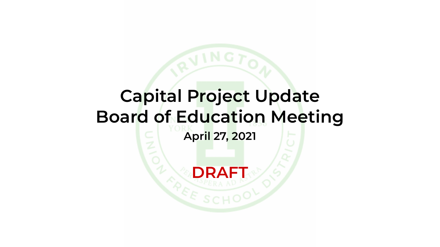## **Capital Project Update Board of Education Meeting April 27, 2021 DRAFT**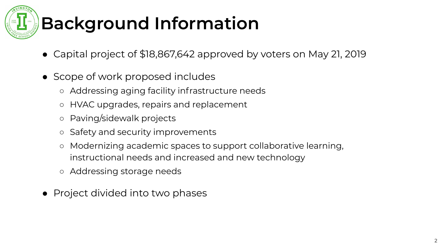

## **Background Information**

- Capital project of \$18,867,642 approved by voters on May 21, 2019
- Scope of work proposed includes
	- Addressing aging facility infrastructure needs
	- HVAC upgrades, repairs and replacement
	- Paving/sidewalk projects
	- Safety and security improvements
	- Modernizing academic spaces to support collaborative learning, instructional needs and increased and new technology
	- Addressing storage needs
- Project divided into two phases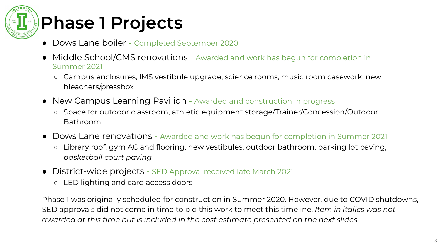# **Phase 1 Projects**

- Dows Lane boiler Completed September 2020
- Middle School/CMS renovations Awarded and work has begun for completion in Summer 2021
	- Campus enclosures, IMS vestibule upgrade, science rooms, music room casework, new bleachers/pressbox
- New Campus Learning Pavilion Awarded and construction in progress
	- Space for outdoor classroom, athletic equipment storage/Trainer/Concession/Outdoor Bathroom
- Dows Lane renovations Awarded and work has begun for completion in Summer 2021
	- Library roof, gym AC and flooring, new vestibules, outdoor bathroom, parking lot paving, *basketball court paving*
- District-wide projects SED Approval received late March 2021
	- LED lighting and card access doors

Phase 1 was originally scheduled for construction in Summer 2020. However, due to COVID shutdowns, SED approvals did not come in time to bid this work to meet this timeline. *Item in italics was not awarded at this time but is included in the cost estimate presented on the next slides*.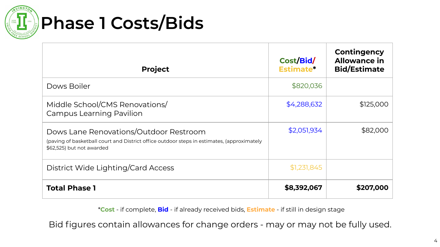

#### **Phase 1 Costs/Bids**

| <b>Project</b>                                                                                                                                                    | Cost/Bid/<br>Estimate* | Contingency<br><b>Allowance in</b><br><b>Bid/Estimate</b> |
|-------------------------------------------------------------------------------------------------------------------------------------------------------------------|------------------------|-----------------------------------------------------------|
| Dows Boiler                                                                                                                                                       | \$820,036              |                                                           |
| Middle School/CMS Renovations/<br><b>Campus Learning Pavilion</b>                                                                                                 | \$4,288,632            | \$125,000                                                 |
| Dows Lane Renovations/Outdoor Restroom<br>(paving of basketball court and District office outdoor steps in estimates, (approximately<br>\$62,525) but not awarded | \$2,051,934            | \$82,000                                                  |
| District Wide Lighting/Card Access                                                                                                                                | \$1,231,845            |                                                           |
| <b>Total Phase 1</b>                                                                                                                                              | \$8,392,067            | \$207,000                                                 |

\***Cost** - if complete, **Bid** - if already received bids, **Estimate** - if still in design stage

Bid figures contain allowances for change orders - may or may not be fully used.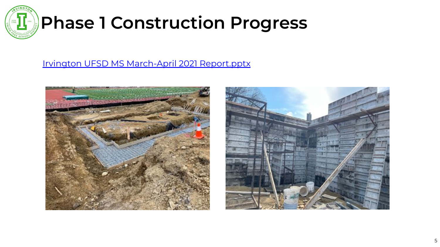

#### **Phase 1 Construction Progress**

#### [Irvington UFSD MS March-April 2021 Report.pptx](https://drive.google.com/file/d/1lYhHJzzkheSwqr-kCF_GQTDiMCJkKWuW/view?usp=sharing)



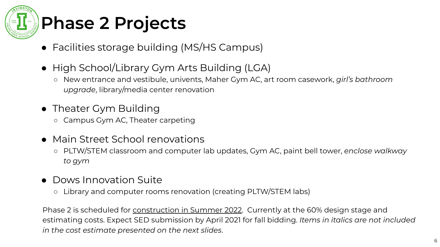

- Facilities storage building (MS/HS Campus)
- High School/Library Gym Arts Building (LGA)
	- New entrance and vestibule, univents, Maher Gym AC, art room casework, *girl's bathroom upgrade*, library/media center renovation
- Theater Gym Building
	- Campus Gym AC, Theater carpeting
- Main Street School renovations
	- PLTW/STEM classroom and computer lab updates, Gym AC, paint bell tower, *enclose walkway to gym*
- Dows Innovation Suite
	- Library and computer rooms renovation (creating PLTW/STEM labs)

Phase 2 is scheduled for construction in Summer 2022. Currently at the 60% design stage and estimating costs. Expect SED submission by April 2021 for fall bidding. *Items in italics are not included in the cost estimate presented on the next slides*.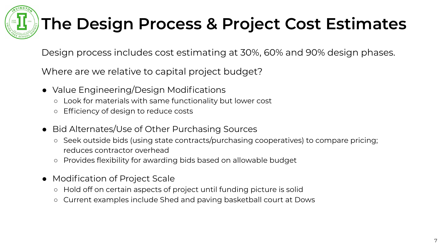

#### **The Design Process & Project Cost Estimates**

Design process includes cost estimating at 30%, 60% and 90% design phases.

Where are we relative to capital project budget?

- Value Engineering/Design Modifications
	- Look for materials with same functionality but lower cost
	- Efficiency of design to reduce costs
- Bid Alternates/Use of Other Purchasing Sources
	- Seek outside bids (using state contracts/purchasing cooperatives) to compare pricing; reduces contractor overhead
	- Provides flexibility for awarding bids based on allowable budget
- Modification of Project Scale
	- Hold off on certain aspects of project until funding picture is solid
	- Current examples include Shed and paving basketball court at Dows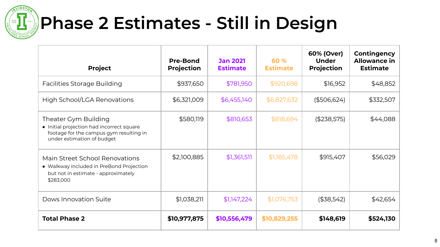

## **Phase 2 Estimates - Still in Design**

| <b>Project</b>                                                                                                                             | <b>Pre-Bond</b><br><b>Projection</b> | <b>Jan 2021</b><br><b>Estimate</b> | 60 %<br><b>Estimate</b> | 60% (Over)<br><b>Under</b><br><b>Projection</b> | Contingency<br><b>Allowance in</b><br><b>Estimate</b> |
|--------------------------------------------------------------------------------------------------------------------------------------------|--------------------------------------|------------------------------------|-------------------------|-------------------------------------------------|-------------------------------------------------------|
| <b>Facilities Storage Building</b>                                                                                                         | \$937,650                            | \$781,950                          | \$920,698               | \$16,952                                        | \$48,852                                              |
| High School/LGA Renovations                                                                                                                | \$6,321,009                          | \$6,455,140                        | \$6,827,632             | (\$506,624)                                     | \$332,507                                             |
| Theater Gym Building<br>• Initial projection had incorrect square<br>footage for the campus gym resulting in<br>under estimation of budget | \$580,119                            | \$810,653                          | \$818,694               | (\$238,575)                                     | \$44,088                                              |
| Main Street School Renovations<br>• Walkway included in PreBond Projection<br>but not in estimate - approximately<br>\$283,000             | \$2,100,885                          | \$1,361,511                        | \$1,185,478             | \$915,407                                       | \$56,029                                              |
| Dows Innovation Suite                                                                                                                      | \$1,038,211                          | \$1,147,224                        | \$1,076,753             | (\$38,542)                                      | \$42,654                                              |
| <b>Total Phase 2</b>                                                                                                                       | \$10,977,875                         | \$10,556,479                       | \$10,829,255            | \$148,619                                       | \$524,130                                             |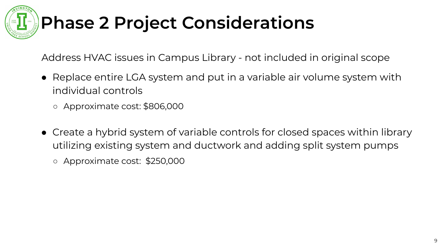## **Phase 2 Project Considerations**

Address HVAC issues in Campus Library - not included in original scope

- Replace entire LGA system and put in a variable air volume system with individual controls
	- Approximate cost: \$806,000
- Create a hybrid system of variable controls for closed spaces within library utilizing existing system and ductwork and adding split system pumps
	- Approximate cost: \$250,000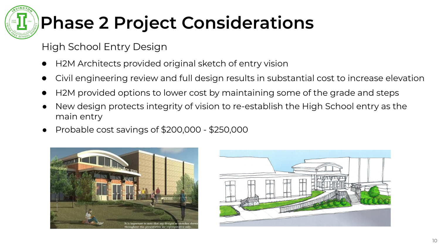## **Phase 2 Project Considerations**

High School Entry Design

- H2M Architects provided original sketch of entry vision
- Civil engineering review and full design results in substantial cost to increase elevation
- H2M provided options to lower cost by maintaining some of the grade and steps
- New design protects integrity of vision to re-establish the High School entry as the main entry
- Probable cost savings of \$200,000 \$250,000



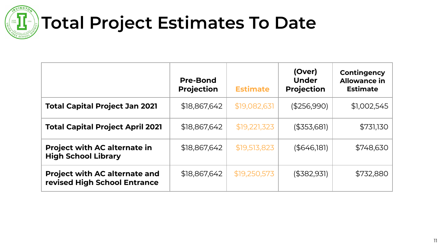

## **Total Project Estimates To Date**

|                                                                      | <b>Pre-Bond</b><br><b>Projection</b> | <b>Estimate</b> | (Over)<br><b>Under</b><br><b>Projection</b> | Contingency<br><b>Allowance in</b><br><b>Estimate</b> |
|----------------------------------------------------------------------|--------------------------------------|-----------------|---------------------------------------------|-------------------------------------------------------|
| <b>Total Capital Project Jan 2021</b>                                | \$18,867,642                         | \$19,082,631    | (\$256,990)                                 | \$1,002,545                                           |
| <b>Total Capital Project April 2021</b>                              | \$18,867,642                         | \$19,221,323    | $($ \$353,681)                              | \$731,130                                             |
| <b>Project with AC alternate in</b><br><b>High School Library</b>    | \$18,867,642                         | \$19,513,823    | ( \$646, 181)                               | \$748,630                                             |
| <b>Project with AC alternate and</b><br>revised High School Entrance | \$18,867,642                         | \$19,250,573    | $($ \$382,931)                              | \$732,880                                             |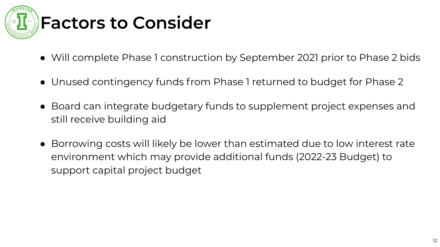

## **Factors to Consider**

- Will complete Phase 1 construction by September 2021 prior to Phase 2 bids
- Unused contingency funds from Phase 1 returned to budget for Phase 2
- Board can integrate budgetary funds to supplement project expenses and still receive building aid
- Borrowing costs will likely be lower than estimated due to low interest rate environment which may provide additional funds (2022-23 Budget) to support capital project budget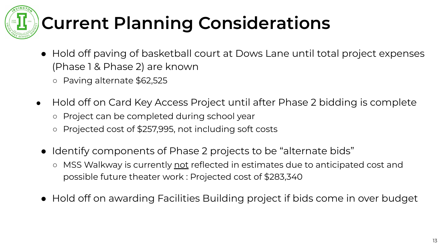# **Current Planning Considerations**

- Hold off paving of basketball court at Dows Lane until total project expenses (Phase 1 & Phase 2) are known
	- Paving alternate \$62,525
- Hold off on Card Key Access Project until after Phase 2 bidding is complete
	- Project can be completed during school year
	- Projected cost of \$257,995, not including soft costs
	- Identify components of Phase 2 projects to be "alternate bids"
		- MSS Walkway is currently not reflected in estimates due to anticipated cost and possible future theater work : Projected cost of \$283,340
	- Hold off on awarding Facilities Building project if bids come in over budget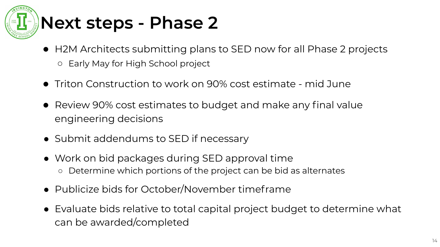

- H2M Architects submitting plans to SED now for all Phase 2 projects ○ Early May for High School project
- Triton Construction to work on 90% cost estimate mid June
- Review 90% cost estimates to budget and make any final value engineering decisions
- Submit addendums to SED if necessary
- Work on bid packages during SED approval time ○ Determine which portions of the project can be bid as alternates
- Publicize bids for October/November timeframe
- Evaluate bids relative to total capital project budget to determine what can be awarded/completed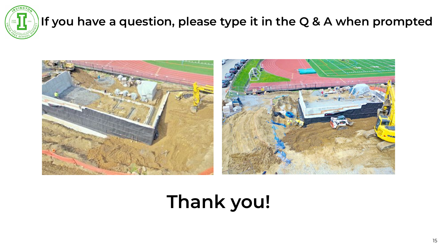

#### **If you have a question, please type it in the Q & A when prompted**



## **Thank you!**